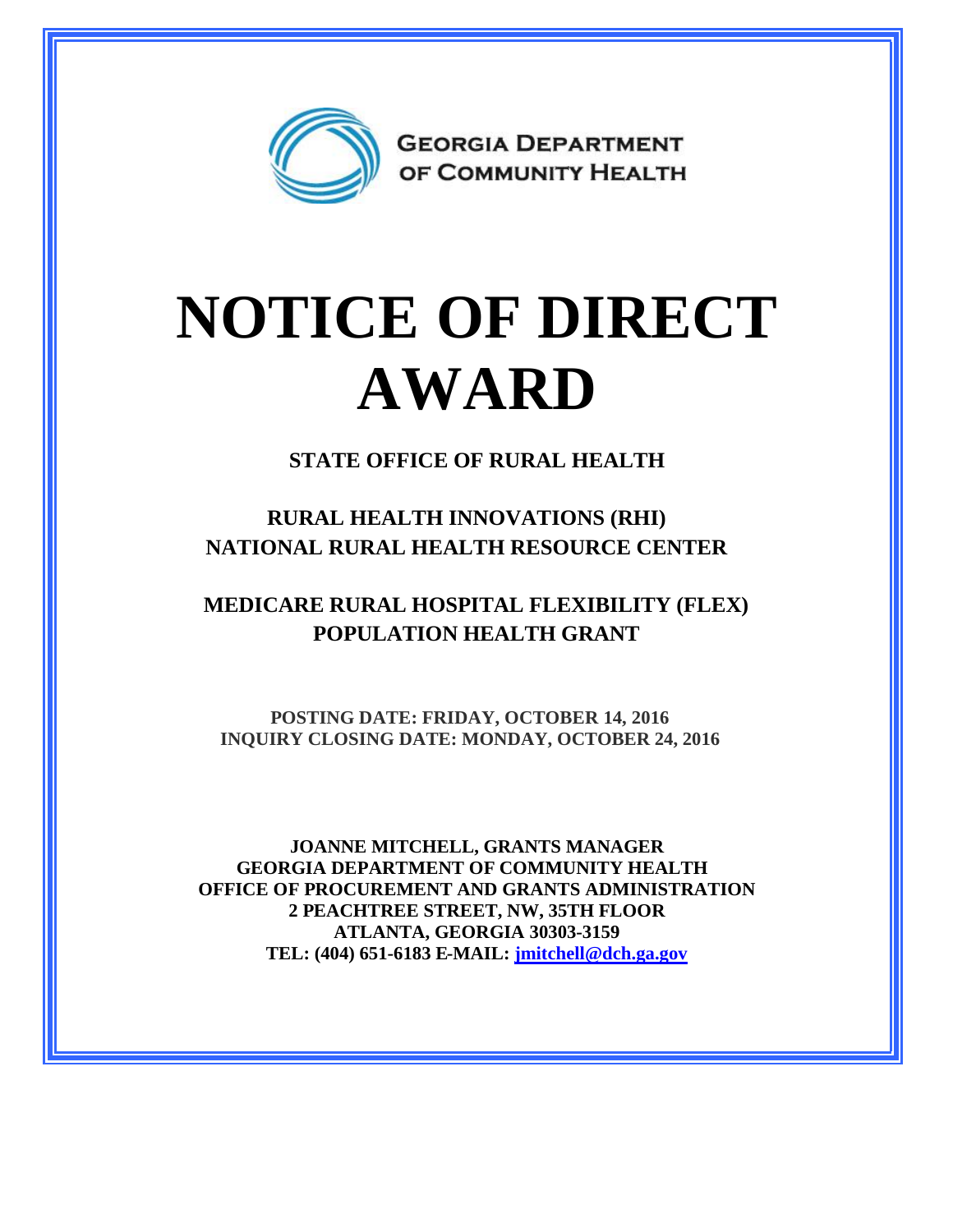

## **NOTICE OF DIRECT AWARD**

**STATE OFFICE OF RURAL HEALTH**

**RURAL HEALTH INNOVATIONS (RHI) NATIONAL RURAL HEALTH RESOURCE CENTER**

**MEDICARE RURAL HOSPITAL FLEXIBILITY (FLEX) POPULATION HEALTH GRANT**

**POSTING DATE: FRIDAY, OCTOBER 14, 2016 INQUIRY CLOSING DATE: MONDAY, OCTOBER 24, 2016**

**JOANNE MITCHELL, GRANTS MANAGER GEORGIA DEPARTMENT OF COMMUNITY HEALTH OFFICE OF PROCUREMENT AND GRANTS ADMINISTRATION 2 PEACHTREE STREET, NW, 35TH FLOOR ATLANTA, GEORGIA 30303-3159 TEL: (404) 651-6183 E-MAIL: [jmitchell@dch.ga.gov](mailto:jmitchell@dch.ga.gov)**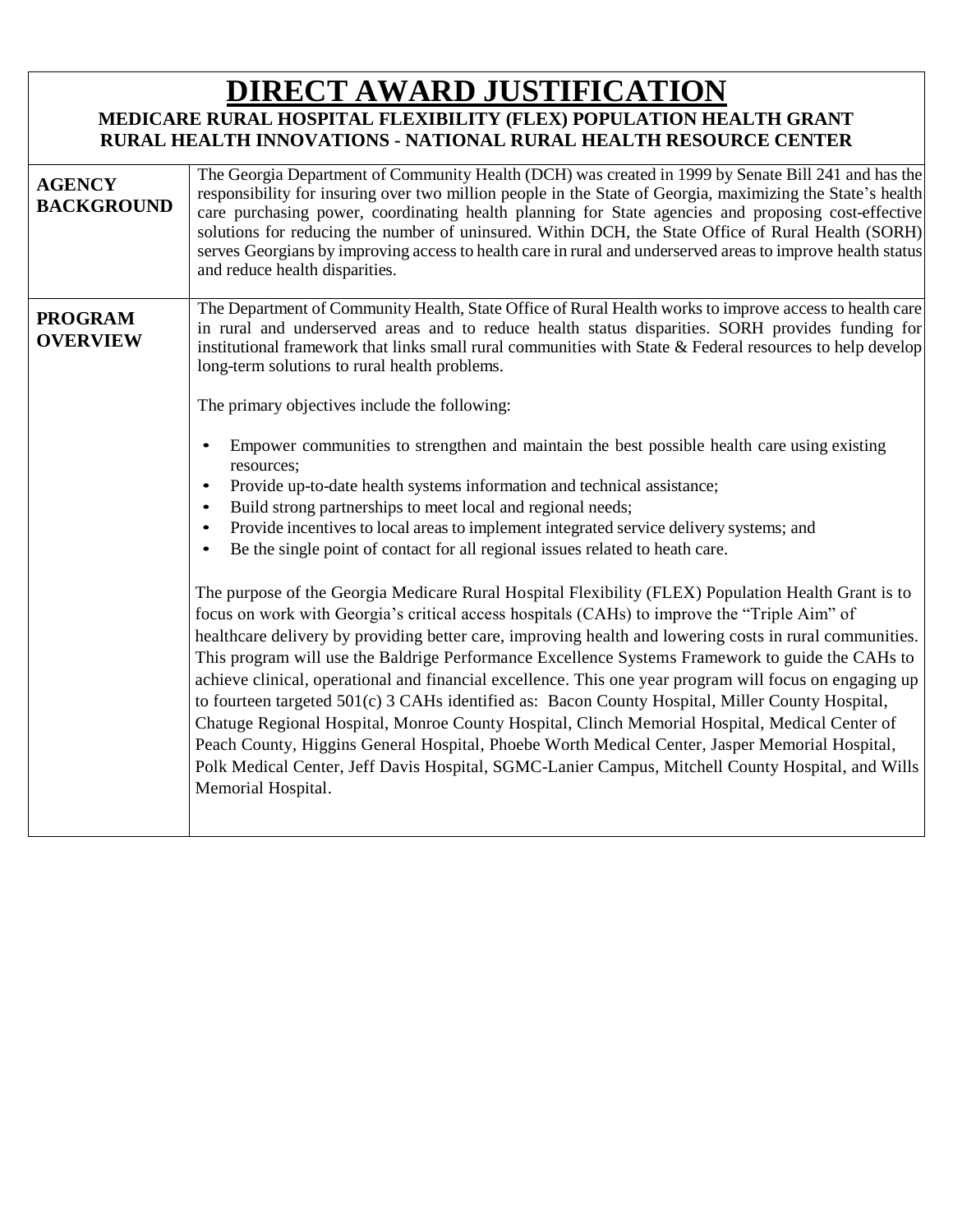## **DIRECT AWARD JUSTIFICATION**

## **MEDICARE RURAL HOSPITAL FLEXIBILITY (FLEX) POPULATION HEALTH GRANT RURAL HEALTH INNOVATIONS - NATIONAL RURAL HEALTH RESOURCE CENTER**

| <b>AGENCY</b><br><b>BACKGROUND</b> | The Georgia Department of Community Health (DCH) was created in 1999 by Senate Bill 241 and has the<br>responsibility for insuring over two million people in the State of Georgia, maximizing the State's health<br>care purchasing power, coordinating health planning for State agencies and proposing cost-effective<br>solutions for reducing the number of uninsured. Within DCH, the State Office of Rural Health (SORH)<br>serves Georgians by improving access to health care in rural and underserved areas to improve health status<br>and reduce health disparities.                                                                                                                                                                                                                                                                                                                                                                                                                                                                                                                                                                                                                                                                                                                                                                                                                                                                                                                                                                                                                                                                                                                                                                                                                                                                   |
|------------------------------------|----------------------------------------------------------------------------------------------------------------------------------------------------------------------------------------------------------------------------------------------------------------------------------------------------------------------------------------------------------------------------------------------------------------------------------------------------------------------------------------------------------------------------------------------------------------------------------------------------------------------------------------------------------------------------------------------------------------------------------------------------------------------------------------------------------------------------------------------------------------------------------------------------------------------------------------------------------------------------------------------------------------------------------------------------------------------------------------------------------------------------------------------------------------------------------------------------------------------------------------------------------------------------------------------------------------------------------------------------------------------------------------------------------------------------------------------------------------------------------------------------------------------------------------------------------------------------------------------------------------------------------------------------------------------------------------------------------------------------------------------------------------------------------------------------------------------------------------------------|
| <b>PROGRAM</b><br><b>OVERVIEW</b>  | The Department of Community Health, State Office of Rural Health works to improve access to health care<br>in rural and underserved areas and to reduce health status disparities. SORH provides funding for<br>institutional framework that links small rural communities with State $\&$ Federal resources to help develop<br>long-term solutions to rural health problems.<br>The primary objectives include the following:<br>Empower communities to strengthen and maintain the best possible health care using existing<br>resources;<br>Provide up-to-date health systems information and technical assistance;<br>Build strong partnerships to meet local and regional needs;<br>Provide incentives to local areas to implement integrated service delivery systems; and<br>Be the single point of contact for all regional issues related to heath care.<br>$\bullet$<br>The purpose of the Georgia Medicare Rural Hospital Flexibility (FLEX) Population Health Grant is to<br>focus on work with Georgia's critical access hospitals (CAHs) to improve the "Triple Aim" of<br>healthcare delivery by providing better care, improving health and lowering costs in rural communities.<br>This program will use the Baldrige Performance Excellence Systems Framework to guide the CAHs to<br>achieve clinical, operational and financial excellence. This one year program will focus on engaging up<br>to fourteen targeted 501(c) 3 CAHs identified as: Bacon County Hospital, Miller County Hospital,<br>Chatuge Regional Hospital, Monroe County Hospital, Clinch Memorial Hospital, Medical Center of<br>Peach County, Higgins General Hospital, Phoebe Worth Medical Center, Jasper Memorial Hospital,<br>Polk Medical Center, Jeff Davis Hospital, SGMC-Lanier Campus, Mitchell County Hospital, and Wills<br>Memorial Hospital. |